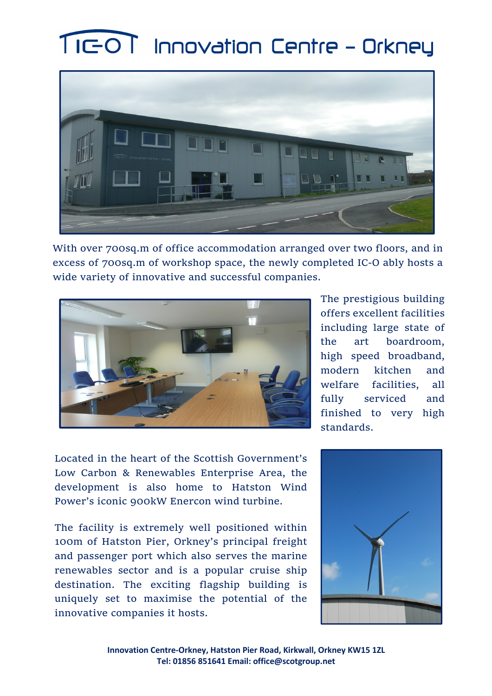## TIGOT Innovation Centre - Orkney



With over 700sq.m of office accommodation arranged over two floors, and in excess of 700sq.m of workshop space, the newly completed IC-O ably hosts a wide variety of innovative and successful companies.



The prestigious building offers excellent facilities including large state of the art boardroom, high speed broadband, modern kitchen and welfare facilities, all fully serviced and finished to very high standards.

Located in the heart of the Scottish Government's Low Carbon & Renewables Enterprise Area, the development is also home to Hatston Wind Power's iconic 900kW Enercon wind turbine.

The facility is extremely well positioned within 100m of Hatston Pier, Orkney's principal freight and passenger port which also serves the marine renewables sector and is a popular cruise ship destination. The exciting flagship building is uniquely set to maximise the potential of the innovative companies it hosts.